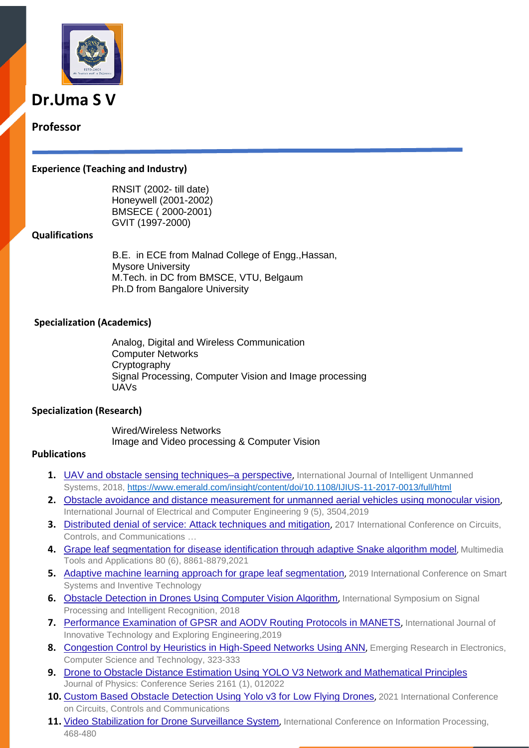

# **Dr.Uma S V**

# **Professor**

#### **Experience (Teaching and Industry)**

RNSIT (2002- till date) Honeywell (2001-2002) BMSECE ( 2000-2001) GVIT (1997-2000)

## **Qualifications**

B.E. in ECE from Malnad College of Engg.,Hassan, Mysore University M.Tech. in DC from BMSCE, VTU, Belgaum Ph.D from Bangalore University

## **Specialization (Academics)**

Analog, Digital and Wireless Communication Computer Networks **Cryptography** Signal Processing, Computer Vision and Image processing UAVs

#### **Specialization (Research)**

Wired/Wireless Networks Image and Video processing & Computer Vision

#### **Publications**

- **1.** [UAV and obstacle sensing techniques–a perspective](https://scholar.google.co.in/citations?view_op=view_citation&hl=en&user=2EW55cQAAAAJ&citation_for_view=2EW55cQAAAAJ:IjCSPb-OGe4C), International Journal of Intelligent Unmanned Systems, 2018,<https://www.emerald.com/insight/content/doi/10.1108/IJIUS-11-2017-0013/full/html>
- **2.** [Obstacle avoidance and distance measurement for unmanned aerial vehicles using monocular vision](https://scholar.google.co.in/citations?view_op=view_citation&hl=en&user=2EW55cQAAAAJ&citation_for_view=2EW55cQAAAAJ:eQOLeE2rZwMC), International Journal of Electrical and Computer Engineering 9 (5), 3504,2019
- **3.** [Distributed denial of service: Attack techniques and mitigation](https://scholar.google.co.in/citations?view_op=view_citation&hl=en&user=2EW55cQAAAAJ&citation_for_view=2EW55cQAAAAJ:LkGwnXOMwfcC), 2017 International Conference on Circuits, Controls, and Communications …
- **4.** [Grape leaf segmentation for disease identification through adaptive Snake algorithm model](https://link.springer.com/article/10.1007/s11042-020-09853-y), Multimedia Tools and Applications 80 (6), 8861-8879,2021
- **5.** [Adaptive machine learning approach for grape leaf segmentation](https://scholar.google.co.in/citations?view_op=view_citation&hl=en&user=2EW55cQAAAAJ&citation_for_view=2EW55cQAAAAJ:UebtZRa9Y70C), 2019 International Conference on Smart Systems and Inventive Technology
- **6.** Obstacle [Detection in Drones Using Computer Vision Algorithm](https://scholar.google.co.in/citations?view_op=view_citation&hl=en&user=2EW55cQAAAAJ&citation_for_view=2EW55cQAAAAJ:W7OEmFMy1HYC), International Symposium on Signal Processing and Intelligent Recognition, 2018
- 7. [Performance Examination of GPSR and AODV Routing Protocols in MANETS](https://scholar.google.co.in/citations?view_op=view_citation&hl=en&user=2EW55cQAAAAJ&citation_for_view=2EW55cQAAAAJ:roLk4NBRz8UC), International Journal of Innovative Technology and Exploring Engineering,2019
- 8. [Congestion Control by Heuristics in High-Speed Networks Using ANN](https://scholar.google.co.in/citations?view_op=view_citation&hl=en&user=2EW55cQAAAAJ&citation_for_view=2EW55cQAAAAJ:u5HHmVD_uO8C), Emerging Research in Electronics, Computer Science and Technology, 323-333
- **9.** [Drone to Obstacle Distance Estimation Using YOLO V3 Network and Mathematical Principles](https://scholar.google.co.in/citations?view_op=view_citation&hl=en&user=2EW55cQAAAAJ&citation_for_view=2EW55cQAAAAJ:3fE2CSJIrl8C) Journal of Physics: Conference Series 2161 (1), 012022
- 10. [Custom Based Obstacle Detection Using Yolo v3 for](https://scholar.google.co.in/citations?view_op=view_citation&hl=en&user=2EW55cQAAAAJ&citation_for_view=2EW55cQAAAAJ:kNdYIx-mwKoC) Low Flying Drones, 2021 International Conference on Circuits, Controls and Communications
- 11. [Video Stabilization for Drone Surveillance System](https://scholar.google.co.in/citations?view_op=view_citation&hl=en&user=2EW55cQAAAAJ&citation_for_view=2EW55cQAAAAJ:MXK_kJrjxJIC), International Conference on Information Processing, 468-480